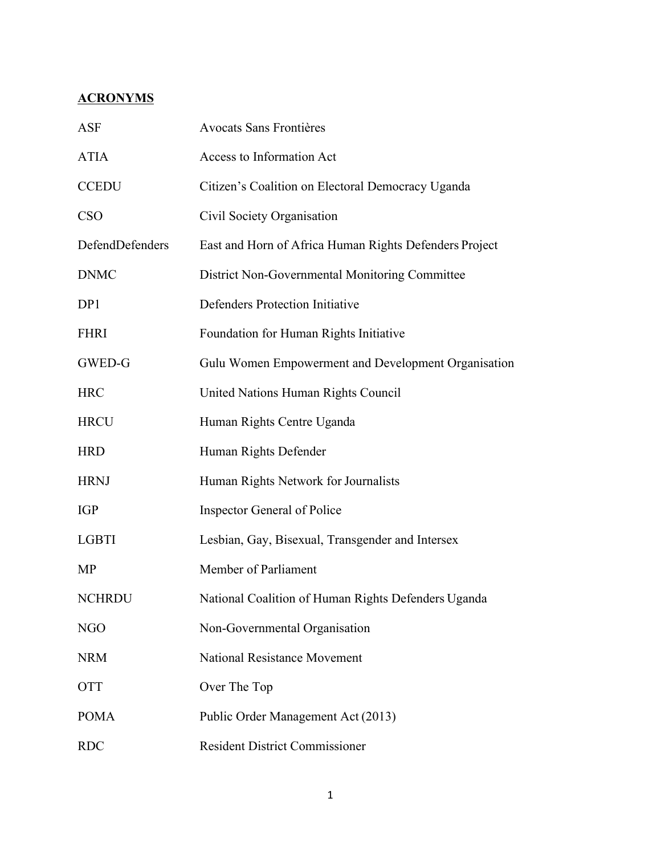# **ACRONYMS**

| <b>ASF</b>      | <b>Avocats Sans Frontières</b>                         |
|-----------------|--------------------------------------------------------|
| <b>ATIA</b>     | Access to Information Act                              |
| <b>CCEDU</b>    | Citizen's Coalition on Electoral Democracy Uganda      |
| <b>CSO</b>      | Civil Society Organisation                             |
| DefendDefenders | East and Horn of Africa Human Rights Defenders Project |
| <b>DNMC</b>     | District Non-Governmental Monitoring Committee         |
| DP1             | Defenders Protection Initiative                        |
| <b>FHRI</b>     | Foundation for Human Rights Initiative                 |
| GWED-G          | Gulu Women Empowerment and Development Organisation    |
| <b>HRC</b>      | United Nations Human Rights Council                    |
| <b>HRCU</b>     | Human Rights Centre Uganda                             |
| <b>HRD</b>      | Human Rights Defender                                  |
| <b>HRNJ</b>     | Human Rights Network for Journalists                   |
| <b>IGP</b>      | <b>Inspector General of Police</b>                     |
| <b>LGBTI</b>    | Lesbian, Gay, Bisexual, Transgender and Intersex       |
| MP              | Member of Parliament                                   |
| <b>NCHRDU</b>   | National Coalition of Human Rights Defenders Uganda    |
| <b>NGO</b>      | Non-Governmental Organisation                          |
| <b>NRM</b>      | <b>National Resistance Movement</b>                    |
| <b>OTT</b>      | Over The Top                                           |
| <b>POMA</b>     | Public Order Management Act (2013)                     |
| <b>RDC</b>      | <b>Resident District Commissioner</b>                  |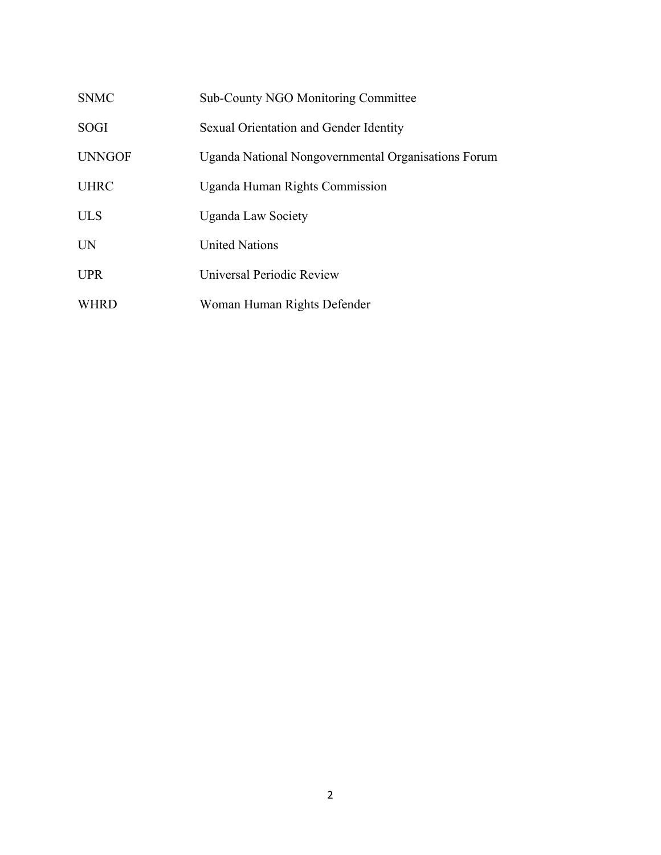| <b>SNMC</b>   | <b>Sub-County NGO Monitoring Committee</b>          |
|---------------|-----------------------------------------------------|
| <b>SOGI</b>   | Sexual Orientation and Gender Identity              |
| <b>UNNGOF</b> | Uganda National Nongovernmental Organisations Forum |
| <b>UHRC</b>   | Uganda Human Rights Commission                      |
| <b>ULS</b>    | <b>Uganda Law Society</b>                           |
| <b>UN</b>     | <b>United Nations</b>                               |
| <b>UPR</b>    | Universal Periodic Review                           |
| <b>WHRD</b>   | Woman Human Rights Defender                         |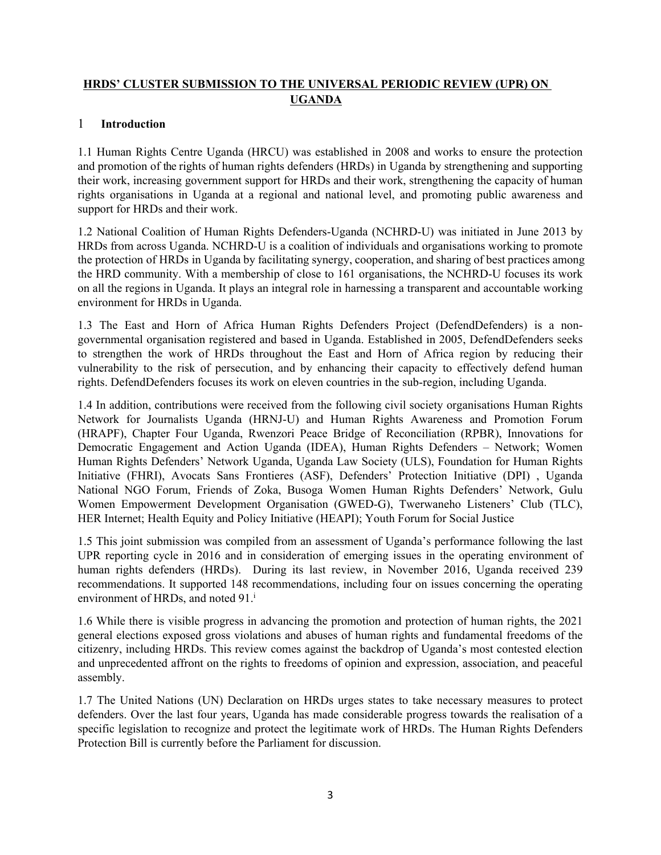# **HRDS' CLUSTER SUBMISSION TO THE UNIVERSAL PERIODIC REVIEW (UPR) ON UGANDA**

#### 1 **Introduction**

1.1 Human Rights Centre Uganda (HRCU) was established in 2008 and works to ensure the protection and promotion of the rights of human rights defenders (HRDs) in Uganda by strengthening and supporting their work, increasing governmen<sup>t</sup> suppor<sup>t</sup> for HRDs and their work, strengthening the capacity of human rights organisations in Uganda at <sup>a</sup> regional and national level, and promoting public awareness and suppor<sup>t</sup> for HRDs and their work.

1.2 National Coalition of Human Rights Defenders-Uganda (NCHRD-U) was initiated in June 2013 by HRDs from across Uganda. NCHRD-U is <sup>a</sup> coalition of individuals and organisations working to promote the protection of HRDs in Uganda by facilitating synergy, cooperation, and sharing of best practices among the HRD community. With <sup>a</sup> membership of close to 161 organisations, the NCHRD-U focuses its work on all the regions in Uganda. It plays an integral role in harnessing <sup>a</sup> transparent and accountable working environment for HRDs in Uganda.

1.3 The East and Horn of Africa Human Rights Defenders Project (DefendDefenders) is <sup>a</sup> nongovernmental organisation registered and based in Uganda. Established in 2005, DefendDefenders seeks to strengthen the work of HRDs throughout the East and Horn of Africa region by reducing their vulnerability to the risk of persecution, and by enhancing their capacity to effectively defend human rights. DefendDefenders focuses its work on eleven countries in the sub-region, including Uganda.

1.4 In addition, contributions were received from the following civil society organisations Human Rights Network for Journalists Uganda (HRNJ-U) and Human Rights Awareness and Promotion Forum (HRAPF), Chapter Four Uganda, Rwenzori Peace Bridge of Reconciliation (RPBR), Innovations for Democratic Engagement and Action Uganda (IDEA), Human Rights Defenders – Network; Women Human Rights Defenders' Network Uganda, Uganda Law Society (ULS), Foundation for Human Rights Initiative (FHRI), Avocats Sans Frontieres (ASF), Defenders' Protection Initiative (DPI) , Uganda National NGO Forum, Friends of Zoka, Busoga Women Human Rights Defenders' Network, Gulu Women Empowerment Development Organisation (GWED-G), Twerwaneho Listeners' Club (TLC), HER Internet; Health Equity and Policy Initiative (HEAPI); Youth Forum for Social Justice

1.5 This joint submission was compiled from an assessment of Uganda'<sup>s</sup> performance following the last UPR reporting cycle in 2016 and in consideration of emerging issues in the operating environment of human rights defenders (HRDs). During its last review, in November 2016, Uganda received 239 recommendations. It supported 148 recommendations, including four on issues concerning the operating environment of HRDs, and noted 91.<sup>i</sup>

1.6 While there is visible progress in advancing the promotion and protection of human rights, the 2021 general elections exposed gross violations and abuses of human rights and fundamental freedoms of the citizenry, including HRDs. This review comes against the backdrop of Uganda'<sup>s</sup> most contested election and unprecedented affront on the rights to freedoms of opinion and expression, association, and peaceful assembly.

1.7 The United Nations (UN) Declaration on HRDs urges states to take necessary measures to protect defenders. Over the last four years, Uganda has made considerable progress towards the realisation of <sup>a</sup> specific legislation to recognize and protect the legitimate work of HRDs. The Human Rights Defenders Protection Bill is currently before the Parliament for discussion.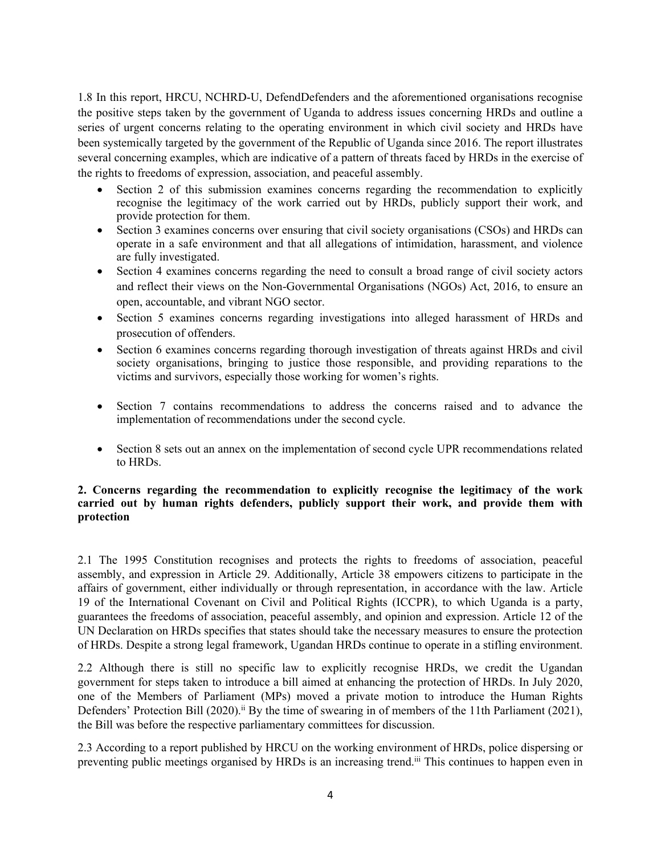1.8 In this report, HRCU, NCHRD-U, DefendDefenders and the aforementioned organisations recognise the positive steps taken by the governmen<sup>t</sup> of Uganda to address issues concerning HRDs and outline <sup>a</sup> series of urgen<sup>t</sup> concerns relating to the operating environment in which civil society and HRDs have been systemically targeted by the governmen<sup>t</sup> of the Republic of Uganda since 2016. The repor<sup>t</sup> illustrates several concerning examples, which are indicative of <sup>a</sup> pattern of threats faced by HRDs in the exercise of the rights to freedoms of expression, association, and peaceful assembly.

- Section 2 of this submission examines concerns regarding the recommendation to explicitly recognise the legitimacy of the work carried out by HRDs, publicly suppor<sup>t</sup> their work, and provide protection for them.
- Section 3 examines concerns over ensuring that civil society organisations (CSOs) and HRDs can operate in <sup>a</sup> safe environment and that all allegations of intimidation, harassment, and violence are fully investigated.
- Section 4 examines concerns regarding the need to consult a broad range of civil society actors and reflect their views on the Non-Governmental Organisations (NGOs) Act, 2016, to ensure an open, accountable, and vibrant NGO sector.
- Section 5 examines concerns regarding investigations into alleged harassment of HRDs and prosecution of offenders.
- Section 6 examines concerns regarding thorough investigation of threats against HRDs and civil society organisations, bringing to justice those responsible, and providing reparations to the victims and survivors, especially those working for women'<sup>s</sup> rights.
- $\bullet$  Section 7 contains recommendations to address the concerns raised and to advance the implementation of recommendations under the second cycle.
- $\bullet$  Section 8 sets out an annex on the implementation of second cycle UPR recommendations related to HRDs.

#### **2. Concerns regarding the recommendation to explicitly recognise the legitimacy of the work carried out by human rights defenders, publicly support their work, and provide them with protection**

2.1 The 1995 Constitution recognises and protects the rights to freedoms of association, peaceful assembly, and expression in Article 29. Additionally, Article 38 empowers citizens to participate in the affairs of government, either individually or through representation, in accordance with the law. Article 19 of the International Covenant on Civil and Political Rights (ICCPR), to which Uganda is <sup>a</sup> party, guarantees the freedoms of association, peaceful assembly, and opinion and expression. Article 12 of the UN Declaration on HRDs specifies that states should take the necessary measures to ensure the protection of HRDs. Despite <sup>a</sup> strong legal framework, Ugandan HRDs continue to operate in <sup>a</sup> stifling environment.

2.2 Although there is still no specific law to explicitly recognise HRDs, we credit the Ugandan governmen<sup>t</sup> for steps taken to introduce <sup>a</sup> bill aimed at enhancing the protection of HRDs. In July 2020, one of the Members of Parliament (MPs) moved <sup>a</sup> private motion to introduce the Human Rights Defenders' Protection Bill (2020).<sup>ii</sup> By the time of swearing in of members of the 11th Parliament (2021), the Bill was before the respective parliamentary committees for discussion.

2.3 According to <sup>a</sup> repor<sup>t</sup> published by HRCU on the working environment of HRDs, police dispersing or preventing public meetings organised by HRDs is an increasing trend.<sup>iii</sup> This continues to happen even in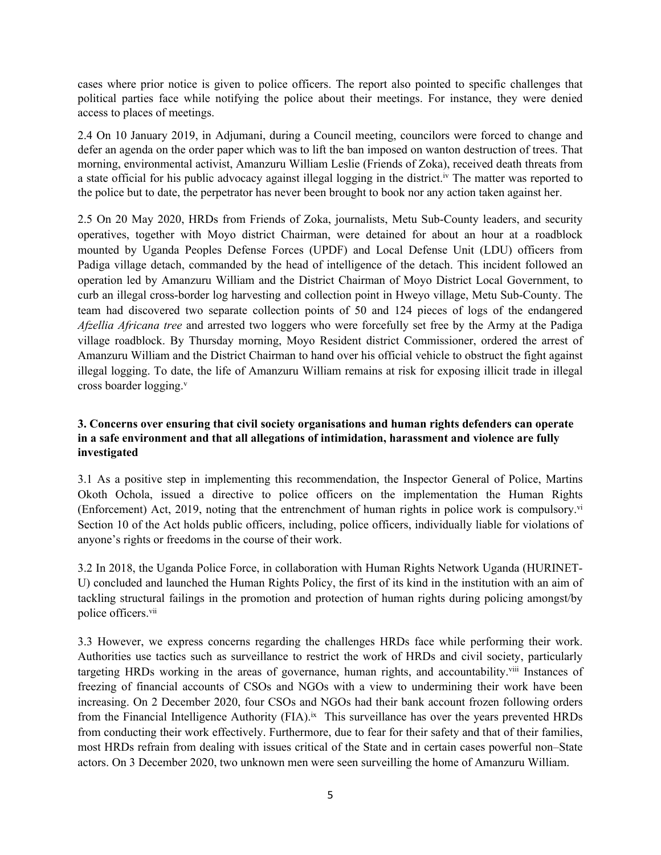cases where prior notice is given to police officers. The repor<sup>t</sup> also pointed to specific challenges that political parties face while notifying the police about their meetings. For instance, they were denied access to places of meetings.

2.4 On 10 January 2019, in Adjumani, during <sup>a</sup> Council meeting, councilors were forced to change and defer an agenda on the order paper which was to lift the ban imposed on wanton destruction of trees. That morning, environmental activist, Amanzuru William Leslie (Friends of Zoka), received death threats from a state official for his public advocacy against illegal logging in the district.<sup>iv</sup> The matter was reported to the police but to date, the perpetrator has never been brought to book nor any action taken against her.

2.5 On 20 May 2020, HRDs from Friends of Zoka, journalists, Metu Sub-County leaders, and security operatives, together with Moyo district Chairman, were detained for about an hour at <sup>a</sup> roadblock mounted by Uganda Peoples Defense Forces (UPDF) and Local Defense Unit (LDU) officers from Padiga village detach, commanded by the head of intelligence of the detach. This incident followed an operation led by Amanzuru William and the District Chairman of Moyo District Local Government, to curb an illegal cross-border log harvesting and collection point in Hweyo village, Metu Sub-County. The team had discovered two separate collection points of 50 and 124 pieces of logs of the endangered *Afzellia Africana tree* and arrested two loggers who were forcefully set free by the Army at the Padiga village roadblock. By Thursday morning, Moyo Resident district Commissioner, ordered the arrest of Amanzuru William and the District Chairman to hand over his official vehicle to obstruct the fight against illegal logging. To date, the life of Amanzuru William remains at risk for exposing illicit trade in illegal cross boarder logging. v

### **3. Concerns over ensuring that civil society organisations and human rights defenders can operate in <sup>a</sup> safe environment and that all allegations of intimidation, harassment and violence are fully investigated**

3.1 As <sup>a</sup> positive step in implementing this recommendation, the Inspector General of Police, Martins Okoth Ochola, issued <sup>a</sup> directive to police officers on the implementation the Human Rights (Enforcement) Act, 2019, noting that the entrenchment of human rights in police work is compulsory.<sup>vi</sup> Section 10 of the Act holds public officers, including, police officers, individually liable for violations of anyone'<sup>s</sup> rights or freedoms in the course of their work.

3.2 In 2018, the Uganda Police Force, in collaboration with Human Rights Network Uganda (HURINET-U) concluded and launched the Human Rights Policy, the first of its kind in the institution with an aim of tackling structural failings in the promotion and protection of human rights during policing amongst/by police officers.<sup>vii</sup>

3.3 However, we express concerns regarding the challenges HRDs face while performing their work. Authorities use tactics such as surveillance to restrict the work of HRDs and civil society, particularly targeting HRDs working in the areas of governance, human rights, and accountability. ii Instances of freezing of financial accounts of CSOs and NGOs with <sup>a</sup> view to undermining their work have been increasing. On 2 December 2020, four CSOs and NGOs had their bank account frozen following orders from the Financial Intelligence Authority (FIA).<sup>ix</sup> This surveillance has over the years prevented HRDs from conducting their work effectively. Furthermore, due to fear for their safety and that of their families, most HRDs refrain from dealing with issues critical of the State and in certain cases powerful non–State actors. On 3 December 2020, two unknown men were seen surveilling the home of Amanzuru William.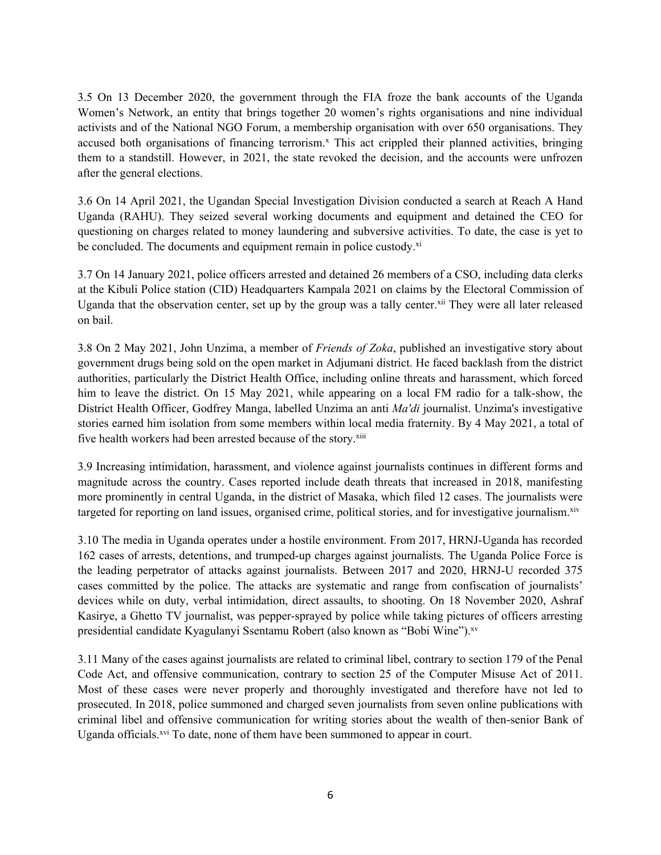3.5 On 13 December 2020, the governmen<sup>t</sup> through the FIA froze the bank accounts of the Uganda Women'<sup>s</sup> Network, an entity that brings together 20 women'<sup>s</sup> rights organisations and nine individual activists and of the National NGO Forum, <sup>a</sup> membership organisation with over 650 organisations. They accused both organisations of financing terrorism. x This act crippled their planned activities, bringing them to <sup>a</sup> standstill. However, in 2021, the state revoked the decision, and the accounts were unfrozen after the general elections.

3.6 On 14 April 2021, the Ugandan Special Investigation Division conducted <sup>a</sup> search at Reach A Hand Uganda (RAHU). They seized several working documents and equipment and detained the CEO for questioning on charges related to money laundering and subversive activities. To date, the case is ye<sup>t</sup> to be concluded. The documents and equipment remain in police custody.<sup>xi</sup>

3.7 On 14 January 2021, police officers arrested and detained 26 members of <sup>a</sup> CSO, including data clerks at the Kibuli Police station (CID) Headquarters Kampala 2021 on claims by the Electoral Commission of Uganda that the observation center, set up by the group was a tally center.<sup>xii</sup> They were all later released on bail.

3.8 On 2 May 2021, John Unzima, <sup>a</sup> member of *Friends of Zoka*, published an investigative story about governmen<sup>t</sup> drugs being sold on the open market in Adjumani district. He faced backlash from the district authorities, particularly the District Health Office, including online threats and harassment, which forced him to leave the district. On 15 May 2021, while appearing on <sup>a</sup> local FM radio for <sup>a</sup> talk-show, the District Health Officer, Godfrey Manga, labelled Unzima an anti *Ma'di* journalist. Unzima's investigative stories earned him isolation from some members within local media fraternity. By 4 May 2021, <sup>a</sup> total of five health workers had been arrested because of the story.<sup>xiii</sup>

3.9 Increasing intimidation, harassment, and violence against journalists continues in different forms and magnitude across the country. Cases reported include death threats that increased in 2018, manifesting more prominently in central Uganda, in the district of Masaka, which filed 12 cases. The journalists were targeted for reporting on land issues, organised crime, political stories, and for investigative journalism. Xiv

3.10 The media in Uganda operates under <sup>a</sup> hostile environment. From 2017, HRNJ-Uganda has recorded 162 cases of arrests, detentions, and trumped-up charges against journalists. The Uganda Police Force is the leading perpetrator of attacks against journalists. Between 2017 and 2020, HRNJ-U recorded 375 cases committed by the police. The attacks are systematic and range from confiscation of journalists' devices while on duty, verbal intimidation, direct assaults, to shooting. On 18 November 2020, Ashraf Kasirye, <sup>a</sup> Ghetto TV journalist, was pepper-sprayed by police while taking pictures of officers arresting presidential candidate Kyagulanyi Ssentamu Robert (also known as "Bobi Wine"). xv

3.11 Many of the cases against journalists are related to criminal libel, contrary to section 179 of the Penal Code Act, and offensive communication, contrary to section 25 of the Computer Misuse Act of 2011. Most of these cases were never properly and thoroughly investigated and therefore have not led to prosecuted. In 2018, police summoned and charged seven journalists from seven online publications with criminal libel and offensive communication for writing stories about the wealth of then-senior Bank of Uganda officials.<sup>xvi</sup> To date, none of them have been summoned to appear in court.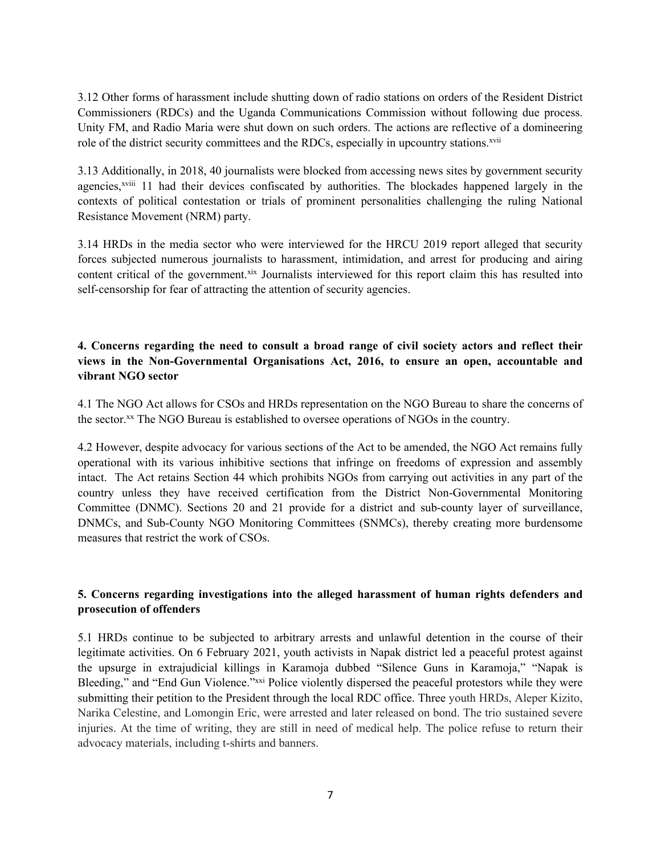3.12 Other forms of harassment include shutting down of radio stations on orders of the Resident District Commissioners (RDCs) and the Uganda Communications Commission without following due process. Unity FM, and Radio Maria were shut down on such orders. The actions are reflective of <sup>a</sup> domineering role of the district security committees and the RDCs, especially in upcountry stations.<sup>xvii</sup>

3.13 Additionally, in 2018, 40 journalists were blocked from accessing news sites by governmen<sup>t</sup> security agencies,<sup>xviii</sup> 11 had their devices confiscated by authorities. The blockades happened largely in the contexts of political contestation or trials of prominent personalities challenging the ruling National Resistance Movement (NRM) party.

3.14 HRDs in the media sector who were interviewed for the HRCU 2019 repor<sup>t</sup> alleged that security forces subjected numerous journalists to harassment, intimidation, and arrest for producing and airing content critical of the government.<sup>xix</sup> Journalists interviewed for this report claim this has resulted into self-censorship for fear of attracting the attention of security agencies.

## **4. Concerns regarding the need to consult <sup>a</sup> broad range of civil society actors and reflect their views in the Non-Governmental Organisations Act, 2016, to ensure an open, accountable and vibrant NGO sector**

4.1 The NGO Act allows for CSOs and HRDs representation on the NGO Bureau to share the concerns of the sector.<sup>xx</sup> The NGO Bureau is established to oversee operations of NGOs in the country.

4.2 However, despite advocacy for various sections of the Act to be amended, the NGO Act remains fully operational with its various inhibitive sections that infringe on freedoms of expression and assembly intact. The Act retains Section 44 which prohibits NGOs from carrying out activities in any par<sup>t</sup> of the country unless they have received certification from the District Non-Governmental Monitoring Committee (DNMC). Sections 20 and 21 provide for <sup>a</sup> district and sub-county layer of surveillance, DNMCs, and Sub-County NGO Monitoring Committees (SNMCs), thereby creating more burdensome measures that restrict the work of CSOs.

## **5. Concerns regarding investigations into the alleged harassment of human rights defenders and prosecution of offenders**

5.1 HRDs continue to be subjected to arbitrary arrests and unlawful detention in the course of their legitimate activities. On 6 February 2021, youth activists in Napak district led <sup>a</sup> peaceful protest against the upsurge in extrajudicial killings in Karamoja dubbed "Silence Guns in Karamoja," "Napak is Bleeding," and "End Gun Violence."<sup>xxi</sup> Police violently dispersed the peaceful protestors while they were submitting their petition to the President through the local RDC office. Three youth HRDs, Aleper Kizito, Narika Celestine, and Lomongin Eric, were arrested and later released on bond. The trio sustained severe injuries. At the time of writing, they are still in need of medical help. The police refuse to return their advocacy materials, including t-shirts and banners.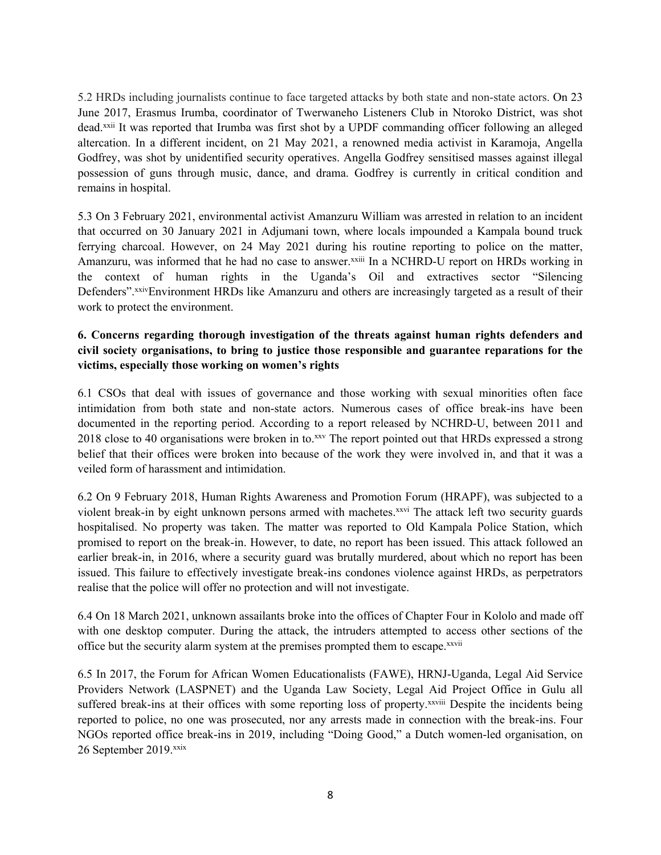5.2 HRDs including journalists continue to face targeted attacks by both state and non-state actors. On 23 June 2017, Erasmus Irumba, coordinator of Twerwaneho Listeners Club in Ntoroko District, was shot dead. xxii It was reported that Irumba was first shot by <sup>a</sup> UPDF commanding officer following an alleged altercation. In <sup>a</sup> different incident, on 21 May 2021, <sup>a</sup> renowned media activist in Karamoja, Angella Godfrey, was shot by unidentified security operatives. Angella Godfrey sensitised masses against illegal possession of guns through music, dance, and drama. Godfrey is currently in critical condition and remains in hospital.

5.3 On 3 February 2021, environmental activist Amanzuru William was arrested in relation to an incident that occurred on 30 January 2021 in Adjumani town, where locals impounded <sup>a</sup> Kampala bound truck ferrying charcoal. However, on 24 May 2021 during his routine reporting to police on the matter, Amanzuru, was informed that he had no case to answer.<sup>xxiii</sup> In a NCHRD-U report on HRDs working in the context of human rights in the Uganda'<sup>s</sup> Oil and extractives sector "Silencing Defenders".<sup>xxiv</sup>Environment HRDs like Amanzuru and others are increasingly targeted as a result of their work to protect the environment.

## **6. Concerns regarding thorough investigation of the threats against human rights defenders and** civil society organisations, to bring to justice those responsible and guarantee reparations for the **victims, especially those working on women'<sup>s</sup> rights**

6.1 CSOs that deal with issues of governance and those working with sexual minorities often face intimidation from both state and non-state actors. Numerous cases of office break-ins have been documented in the reporting period. According to <sup>a</sup> repor<sup>t</sup> released by NCHRD-U, between 2011 and 2018 close to 40 organisations were broken in to.<sup>xxv</sup> The report pointed out that HRDs expressed a strong belief that their offices were broken into because of the work they were involved in, and that it was <sup>a</sup> veiled form of harassment and intimidation.

6.2 On 9 February 2018, Human Rights Awareness and Promotion Forum (HRAPF), was subjected to <sup>a</sup> violent break-in by eight unknown persons armed with machetes.<sup>xxvi</sup> The attack left two security guards hospitalised. No property was taken. The matter was reported to Old Kampala Police Station, which promised to repor<sup>t</sup> on the break-in. However, to date, no repor<sup>t</sup> has been issued. This attack followed an earlier break-in, in 2016, where <sup>a</sup> security guard was brutally murdered, about which no repor<sup>t</sup> has been issued. This failure to effectively investigate break-ins condones violence against HRDs, as perpetrators realise that the police will offer no protection and will not investigate.

6.4 On 18 March 2021, unknown assailants broke into the offices of Chapter Four in Kololo and made off with one desktop computer. During the attack, the intruders attempted to access other sections of the office but the security alarm system at the premises prompted them to escape.<sup>xxvii</sup>

6.5 In 2017, the Forum for African Women Educationalists (FAWE), HRNJ-Uganda, Legal Aid Service Providers Network (LASPNET) and the Uganda Law Society, Legal Aid Project Office in Gulu all suffered break-ins at their offices with some reporting loss of property.<sup>xxviii</sup> Despite the incidents being reported to police, no one was prosecuted, nor any arrests made in connection with the break-ins. Four NGOs reported office break-ins in 2019, including "Doing Good," <sup>a</sup> Dutch women-led organisation, on 26 September 2019.<sup>xxix</sup>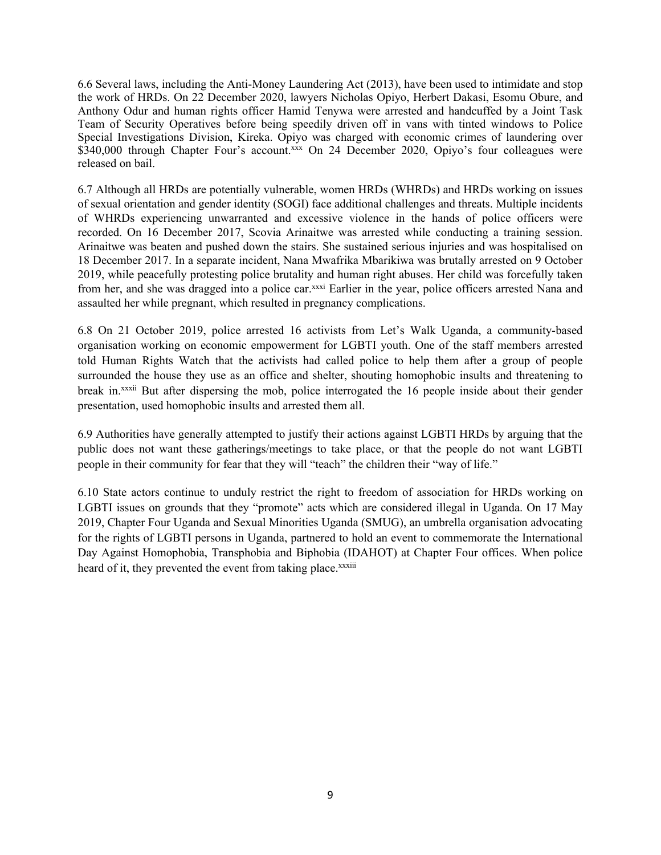6.6 Several laws, including the Anti-Money Laundering Act (2013), have been used to intimidate and stop the work of HRDs. On 22 December 2020, lawyers Nicholas Opiyo, Herbert Dakasi, Esomu Obure, and Anthony Odur and human rights officer Hamid Tenywa were arrested and handcuffed by <sup>a</sup> Joint Task Team of Security Operatives before being speedily driven off in vans with tinted windows to Police Special Investigations Division, Kireka. Opiyo was charged with economic crimes of laundering over \$340,000 through Chapter Four's account.<sup>xxx</sup> On 24 December 2020, Opiyo's four colleagues were released on bail.

6.7 Although all HRDs are potentially vulnerable, women HRDs (WHRDs) and HRDs working on issues of sexual orientation and gender identity (SOGI) face additional challenges and threats. Multiple incidents of WHRDs experiencing unwarranted and excessive violence in the hands of police officers were recorded. On 16 December 2017, Scovia Arinaitwe was arrested while conducting <sup>a</sup> training session. Arinaitwe was beaten and pushed down the stairs. She sustained serious injuries and was hospitalised on 18 December 2017. In <sup>a</sup> separate incident, Nana Mwafrika Mbarikiwa was brutally arrested on 9 October 2019, while peacefully protesting police brutality and human right abuses. Her child was forcefully taken from her, and she was dragged into a police car.<sup>xxxi</sup> Earlier in the year, police officers arrested Nana and assaulted her while pregnant, which resulted in pregnancy complications.

6.8 On 21 October 2019, police arrested 16 activists from Let'<sup>s</sup> Walk Uganda, <sup>a</sup> community-based organisation working on economic empowermen<sup>t</sup> for LGBTI youth. One of the staff members arrested told Human Rights Watch that the activists had called police to help them after <sup>a</sup> group of people surrounded the house they use as an office and shelter, shouting homophobic insults and threatening to break in.<sup>xxxii</sup> But after dispersing the mob, police interrogated the 16 people inside about their gender presentation, used homophobic insults and arrested them all.

6.9 Authorities have generally attempted to justify their actions against LGBTI HRDs by arguing that the public does not want these gatherings/meetings to take place, or that the people do not want LGBTI people in their community for fear that they will "teach" the children their "way of life."

6.10 State actors continue to unduly restrict the right to freedom of association for HRDs working on LGBTI issues on grounds that they "promote" acts which are considered illegal in Uganda. On 17 May 2019, Chapter Four Uganda and Sexual Minorities Uganda (SMUG), an umbrella organisation advocating for the rights of LGBTI persons in Uganda, partnered to hold an event to commemorate the International Day Against Homophobia, Transphobia and Biphobia (IDAHOT) at Chapter Four offices. When police heard of it, they prevented the event from taking place.<sup>xxxiii</sup>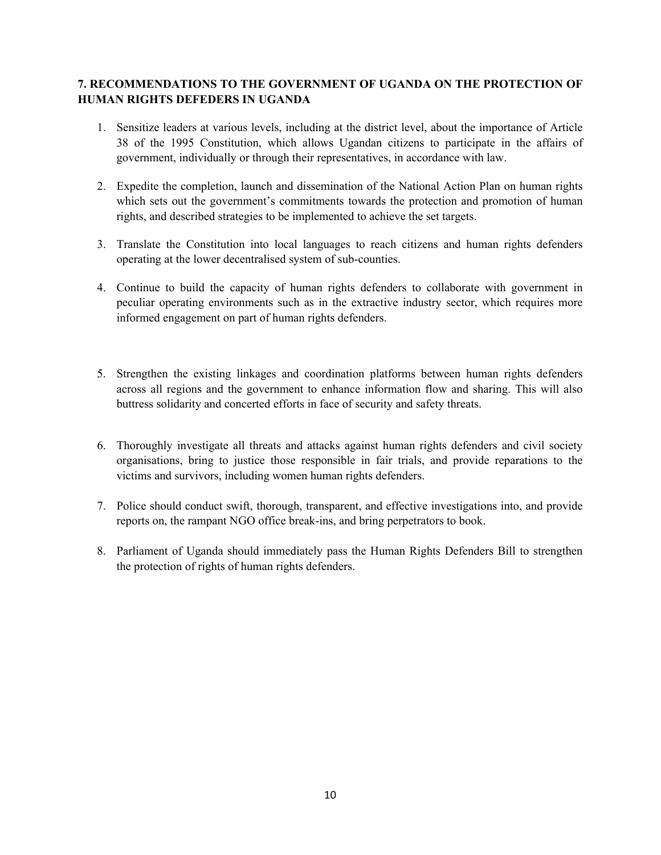## **7. RECOMMENDATIONS TO THE GOVERNMENT OF UGANDA ON THE PROTECTION OF HUMAN RIGHTS DEFEDERS IN UGANDA**

- 1. Sensitize leaders at various levels, including at the district level, about the importance of Article 38 of the 1995 Constitution, which allows Ugandan citizens to participate in the affairs of government, individually or through their representatives, in accordance with law.
- 2. Expedite the completion, launch and dissemination of the National Action Plan on human rights which sets out the government'<sup>s</sup> commitments towards the protection and promotion of human rights, and described strategies to be implemented to achieve the set targets.
- 3. Translate the Constitution into local languages to reach citizens and human rights defenders operating at the lower decentralised system of sub-counties.
- 4. Continue to build the capacity of human rights defenders to collaborate with governmen<sup>t</sup> in peculiar operating environments such as in the extractive industry sector, which requires more informed engagemen<sup>t</sup> on par<sup>t</sup> of human rights defenders.
- 5. Strengthen the existing linkages and coordination platforms between human rights defenders across all regions and the governmen<sup>t</sup> to enhance information flow and sharing. This will also buttress solidarity and concerted efforts in face of security and safety threats.
- 6. Thoroughly investigate all threats and attacks against human rights defenders and civil society organisations, bring to justice those responsible in fair trials, and provide reparations to the victims and survivors, including women human rights defenders.
- 7. Police should conduct swift, thorough, transparent, and effective investigations into, and provide reports on, the rampan<sup>t</sup> NGO office break-ins, and bring perpetrators to book.
- 8. Parliament of Uganda should immediately pass the Human Rights Defenders Bill to strengthen the protection of rights of human rights defenders.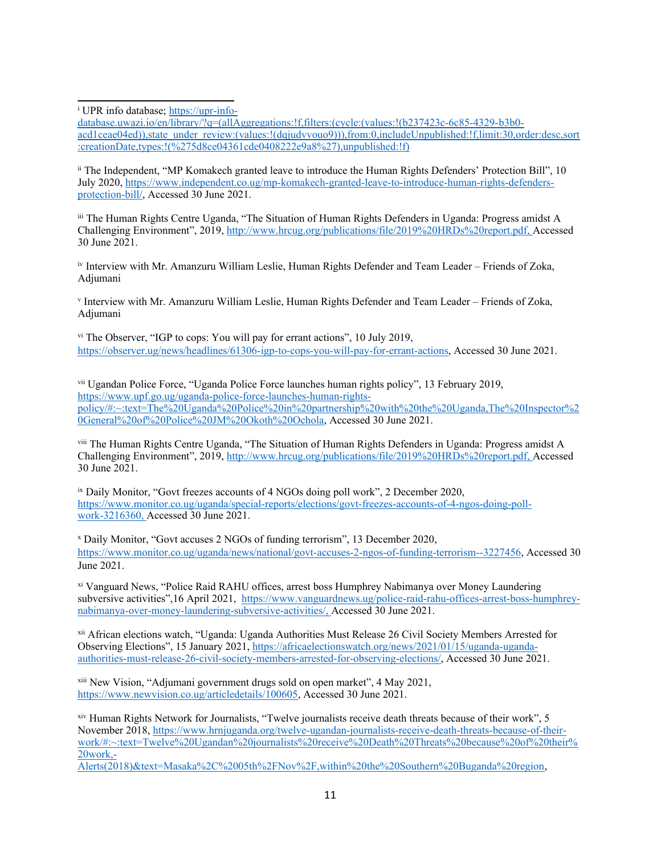ii The Independent, "MP Komakech granted leave to introduce the Human Rights Defenders' Protection Bill", 10 July 2020, [https://www.independent.co.ug/mp-komakech-granted-leave-to-introduce-human-rights-defenders](about:blank)pro[tection-bill/](about:blank), Accessed 30 June 2021.

iii The Human Rights Centre Uganda, "The Situation of Human Rights Defenders in Uganda: Progress amidst A Challenging Environment", 2019, [http://www.hrcug.org/publications/file/2019%20HRDs%20report.pdf](about:blank), Accessed 30 June 2021.

iv Interview with Mr. Amanzuru William Leslie, Human Rights Defender and Team Leader – Friends of Zoka, Adjumani

v Interview with Mr. Amanzuru William Leslie, Human Rights Defender and Team Leader – Friends of Zoka, Adjumani

vi The Observer, "IGP to cops: You will pay for errant actions", 10 July 2019, [https://observer.ug/news/headlines/61306-igp-to-cops-you-will-pay-for-errant-actions](about:blank), Accessed 30 June 2021.

vii Ugandan Police Force, "Uganda Police Force launches human rights policy", 13 February 2019, [https://www.upf.go.ug/uganda-police-force-launches-human-rights](about:blank)po[licy/#:~:text=The%20Uganda%20Police%20in%20partnership%20with%20the%20Uganda,The%20Inspector%2](about:blank) [0General%20of%20Police%20JM%20Okoth%20Ochola](about:blank), Accessed 30 June 2021.

viii The Human Rights Centre Uganda, "The Situation of Human Rights Defenders in Uganda: Progress amidst A Challenging Environment", 2019, [http://www.hrcug.org/publications/file/2019%20HRDs%20report.pdf](about:blank), Accessed 30 June 2021.

ix Daily Monitor, "Govt freezes accounts of <sup>4</sup> NGOs doing poll work", <sup>2</sup> December 2020, [https://www.monitor.co.ug/uganda/special-reports/elections/govt-freezes-accounts-of-4-ngos-doing-poll](about:blank)[work-3216360](about:blank), Accessed 30 June 2021.

<sup>x</sup> Daily Monitor, "Govt accuses 2 NGOs of funding terrorism", 13 December 2020, [https://www.monitor.co.ug/uganda/news/national/govt-accuses-2-ngos-of-funding-terrorism--3227456](about:blank), Accessed 30 June 2021.

xi Vanguard News, "Police Raid RAHU offices, arrest boss Humphrey Nabimanya over Money Laundering subversive activities",16 April 2021, [https://www.vanguardnews.ug/police-raid-rahu-offices-arrest-boss-humphrey](about:blank)[nabimanya-over-money-laundering-subversive-activities/](about:blank), Accessed 30 June 2021.

xii African elections watch, "Uganda: Uganda Authorities Must Release 26 Civil Society Members Arrested for Observing Elections", 15 January 2021, [https://africaelectionswatch.org/news/2021/01/15/uganda-uganda](about:blank)[authorities-must-release-26-civil-society-members-arrested-for-observing-elections/](about:blank), Accessed 30 June 2021.

xiii New Vision, "Adjumani governmen<sup>t</sup> drugs sold on open market", <sup>4</sup> May 2021, [https://www.newvision.co.ug/articledetails/100605](about:blank), Accessed 30 June 2021.

xiv Human Rights Network for Journalists, "Twelve journalists receive death threats because of their work", <sup>5</sup> November 2018, [https://www.hrnjuganda.org/twelve-ugandan-journalists-receive-death-threats-because-of-their](about:blank)[work/#:~:text=Twelve%20Ugandan%20journalists%20receive%20Death%20Threats%20because%20of%20their%](about:blank) [20work,-](about:blank)

[Alerts\(2018\)&text=Masaka%2C%2005th%2FNov%2F,within%20the%20Southern%20Buganda%20region](about:blank),

<sup>i</sup> UPR info database; [https://upr-info-](about:blank)

[database.uwazi.io/en/library/?q=\(allAggregations:!f,filters:\(cycle:\(values:!\(b237423c-6c85-4329-b3b0](about:blank) [acd1ceae04ed\)\),state\\_under\\_review:\(values:!\(dqjudvvouo9\)\)\),from:0,includeUnpublished:!f,limit:30,order:desc,sort](about:blank) [:creationDate,types:!\(%275d8ce04361cde0408222e9a8%27\),unpublished:!f\)](about:blank)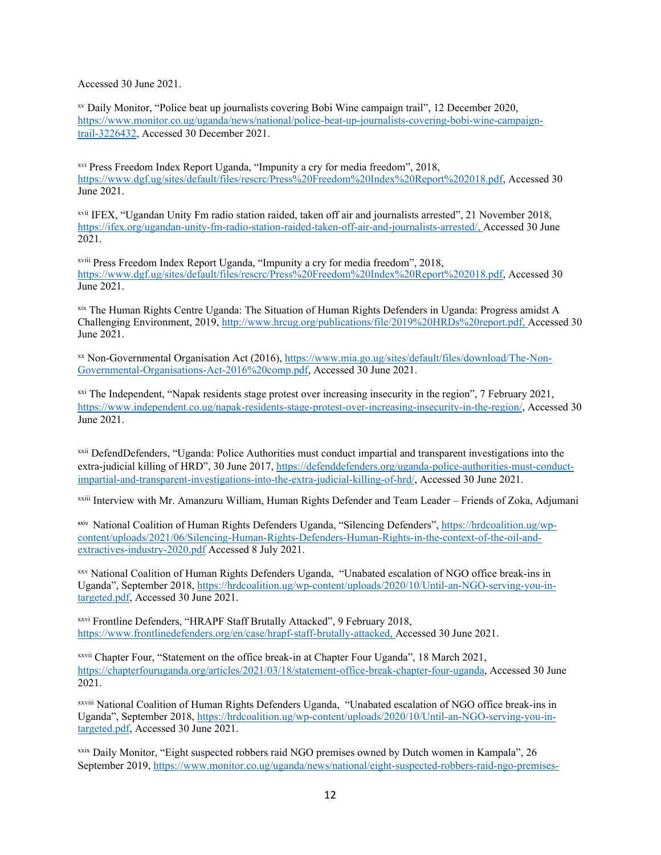Accessed 30 June 2021.

xv Daily Monitor, "Police beat up journalists covering Bobi Wine campaign trail", 12 December 2020, [https://www.monitor.co.ug/uganda/news/national/police-beat-up-journalists-covering-bobi-wine-campaign](about:blank)[trail-3226432](about:blank), Accessed 30 December 2021.

xvi Press Freedom Index Report Uganda, "Impunity <sup>a</sup> cry for media freedom", 2018, [https://www.dgf.ug/sites/default/files/rescrc/Press%20Freedom%20Index%20Report%202018.pdf](about:blank), Accessed 30 June 2021.

xvii IFEX, "Ugandan Unity Fm radio station raided, taken off air and journalists arrested", 21 November 2018, [https://ifex.org/ugandan-unity-fm-radio-station-raided-taken-off-air-and-journalists-arrested/](about:blank), Accessed 30 June 2021.

xviii Press Freedom Index Report Uganda, "Impunity <sup>a</sup> cry for media freedom", 2018, [https://www.dgf.ug/sites/default/files/rescrc/Press%20Freedom%20Index%20Report%202018.pdf](about:blank), Accessed 30 June 2021.

xix The Human Rights Centre Uganda: The Situation of Human Rights Defenders in Uganda: Progress amidst A Challenging Environment, 2019, [http://www.hrcug.org/publications/file/2019%20HRDs%20report.pdf](about:blank), Accessed 30 June 2021.

xx Non-Governmental Organisation Act (2016), [https://www.mia.go.ug/sites/default/files/download/The-Non-](about:blank)[Governmental-Organisations-Act-2016%20comp.pdf](about:blank), Accessed 30 June 2021.

<sup>xxi</sup> The Independent, "Napak residents stage protest over increasing insecurity in the region", 7 February 2021, [https://www.independent.co.ug/napak-residents-stage-protest-over-increasing-insecurity-in-the-region/](about:blank), Accessed 30 June 2021.

xxii DefendDefenders, "Uganda: Police Authorities must conduct impartial and transparent investigations into the extra-judicial killing of HRD", 30 June 2017, [https://defenddefenders.org/uganda-police-authorities-must-conduct](about:blank)[impartial-and-transparent-investigations-into-the-extra-judicial-killing-of-hrd/](about:blank), Accessed 30 June 2021.

<sup>xxiii</sup> Interview with Mr. Amanzuru William, Human Rights Defender and Team Leader – Friends of Zoka, Adjumani

xxiv National Coalition of Human Rights Defenders Uganda, "Silencing Defenders", [https://hrdcoalition.ug/wp](https://hrdcoalition.ug/wp-content/uploads/2021/06/Silencing-Human-Rights-Defenders-Human-Rights-in-the-context-of-the-oil-and-extractives-industry-2020.pdf)[content/uploads/2021/06/Silencing-Human-Rights-Defenders-Human-Rights-in-the-context-of-the-oil-and](https://hrdcoalition.ug/wp-content/uploads/2021/06/Silencing-Human-Rights-Defenders-Human-Rights-in-the-context-of-the-oil-and-extractives-industry-2020.pdf)[extractives-industry-2020.pdf](https://hrdcoalition.ug/wp-content/uploads/2021/06/Silencing-Human-Rights-Defenders-Human-Rights-in-the-context-of-the-oil-and-extractives-industry-2020.pdf) Accessed 8 July 2021.

xxv National Coalition of Human Rights Defenders Uganda, "Unabated escalation of NGO office break-ins in Uganda", September 2018, [https://hrdcoalition.ug/wp-content/uploads/2020/10/Until-an-NGO-serving-you-in](about:blank)[targeted.pdf](about:blank), Accessed 30 June 2021.

xxvi Frontline Defenders, "HRAPF Staff Brutally Attacked", 9 February 2018, [https://www.frontlinedefenders.org/en/case/hrapf-staff-brutally-attacked](about:blank), Accessed 30 June 2021.

xxvii Chapter Four, "Statement on the office break-in at Chapter Four Uganda", 18 March 2021, [https://chapterfouruganda.org/articles/2021/03/18/statement-office-break-chapter-four-uganda](about:blank), Accessed 30 June 2021.

xxviii National Coalition of Human Rights Defenders Uganda, "Unabated escalation of NGO office break-ins in Uganda", September 2018, [https://hrdcoalition.ug/wp-content/uploads/2020/10/Until-an-NGO-serving-you-in](about:blank)[targeted.pdf](about:blank), Accessed 30 June 2021.

xxix Daily Monitor, "Eight suspected robbers raid NGO premises owned by Dutch women in Kampala", 26 September 2019, [https://www.monitor.co.ug/uganda/news/national/eight-suspected-robbers-raid-ngo-premises-](about:blank)